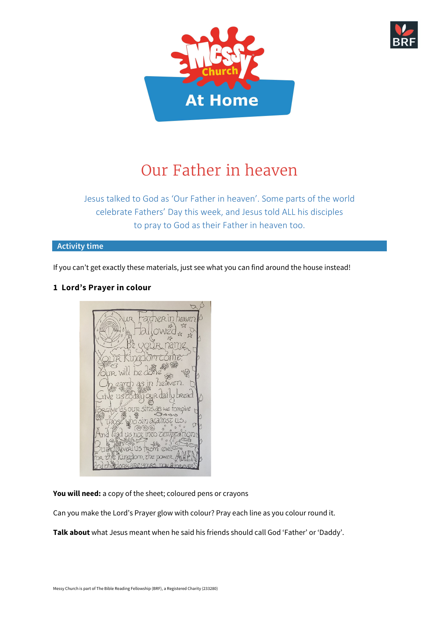



# Our Father in heaven

Jesus talked to God as 'Our Father in heaven'. Some parts of the world celebrate Fathers' Day this week, and Jesus told ALL his disciples to pray to God as their Father in heaven too.

#### **Activity time**

If you can't get exactly these materials, just see what you can find around the house instead!

# **1 Lord's Prayer in colour**



**You will need:** a copy of the sheet; coloured pens or crayons

Can you make the Lord's Prayer glow with colour? Pray each line as you colour round it.

**Talk about** what Jesus meant when he said his friends should call God 'Father' or 'Daddy'.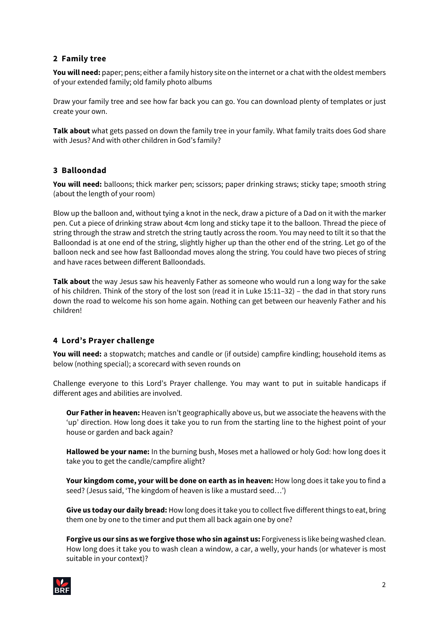## **2 Family tree**

**You will need:** paper; pens; either a family history site on the internet or a chat with the oldest members of your extended family; old family photo albums

Draw your family tree and see how far back you can go. You can download plenty of templates or just create your own.

**Talk about** what gets passed on down the family tree in your family. What family traits does God share with Jesus? And with other children in God's family?

### **3 Balloondad**

**You will need:** balloons; thick marker pen; scissors; paper drinking straws; sticky tape; smooth string (about the length of your room)

Blow up the balloon and, without tying a knot in the neck, draw a picture of a Dad on it with the marker pen. Cut a piece of drinking straw about 4cm long and sticky tape it to the balloon. Thread the piece of string through the straw and stretch the string tautly across the room. You may need to tilt it so that the Balloondad is at one end of the string, slightly higher up than the other end of the string. Let go of the balloon neck and see how fast Balloondad moves along the string. You could have two pieces of string and have races between different Balloondads.

**Talk about** the way Jesus saw his heavenly Father as someone who would run a long way for the sake of his children. Think of the story of the lost son (read it in Luke 15:11–32) – the dad in that story runs down the road to welcome his son home again. Nothing can get between our heavenly Father and his children!

### **4 Lord's Prayer challenge**

**You will need:** a stopwatch; matches and candle or (if outside) campfire kindling; household items as below (nothing special); a scorecard with seven rounds on

Challenge everyone to this Lord's Prayer challenge. You may want to put in suitable handicaps if different ages and abilities are involved.

**Our Father in heaven:** Heaven isn't geographically above us, but we associate the heavens with the 'up' direction. How long does it take you to run from the starting line to the highest point of your house or garden and back again?

**Hallowed be your name:** In the burning bush, Moses met a hallowed or holy God: how long does it take you to get the candle/campfire alight?

**Your kingdom come, your will be done on earth as in heaven:** How long does it take you to find a seed? (Jesus said, 'The kingdom of heaven is like a mustard seed…')

**Give us today our daily bread:** How long does it take you to collect five different things to eat, bring them one by one to the timer and put them all back again one by one?

**Forgive us our sins as we forgive those who sin against us:** Forgiveness is like being washed clean. How long does it take you to wash clean a window, a car, a welly, your hands (or whatever is most suitable in your context)?

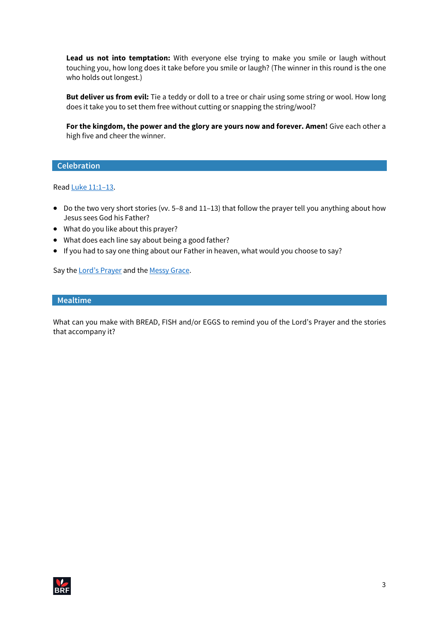**Lead us not into temptation:** With everyone else trying to make you smile or laugh without touching you, how long does it take before you smile or laugh? (The winner in this round is the one who holds out longest.)

**But deliver us from evil:** Tie a teddy or doll to a tree or chair using some string or wool. How long does it take you to set them free without cutting or snapping the string/wool?

For the kingdom, the power and the glory are yours now and forever. Amen! Give each other a high five and cheer the winner.

#### **Celebration**

Read [Luke 11:1–13.](https://www.biblegateway.com/passage/?search=Luke+11%3A1-13&version=NIVUK)

- Do the two very short stories (vv. 5–8 and 11–13) that follow the prayer tell you anything about how Jesus sees God his Father?
- What do you like about this prayer?
- What does each line say about being a good father?
- If you had to say one thing about our Father in heaven, what would you choose to say?

Say the [Lord's Prayer](https://www.youtube.com/watch?v=tOugEQpcc_k) and the [Messy Grace.](https://www.messychurch.org.uk/messygrace)

#### **Mealtime**

What can you make with BREAD, FISH and/or EGGS to remind you of the Lord's Prayer and the stories that accompany it?